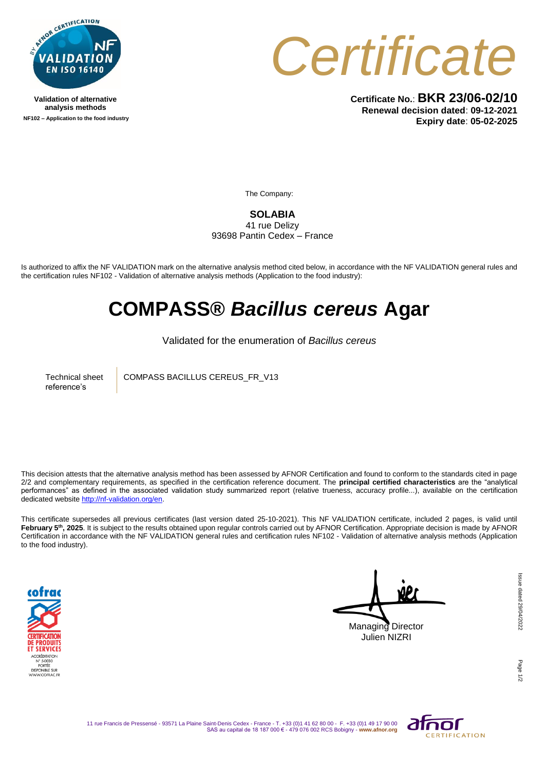

**Validation of alternative analysis methods NF102 – Application to the food industry**



**Certificate No.**: **BKR 23/06-02/10 Renewal decision dated**: **09-12-2021 Expiry date**: **05-02-2025**

The Company:

**SOLABIA**  41 rue Delizy 93698 Pantin Cedex – France

Is authorized to affix the NF VALIDATION mark on the alternative analysis method cited below, in accordance with the NF VALIDATION general rules and the certification rules NF102 - Validation of alternative analysis methods (Application to the food industry):

## **COMPASS®** *Bacillus cereus* **Agar**

Validated for the enumeration of *Bacillus cereus*

Technical sheet reference's

COMPASS BACILLUS CEREUS\_FR\_V13

This decision attests that the alternative analysis method has been assessed by AFNOR Certification and found to conform to the standards cited in page 2/2 and complementary requirements, as specified in the certification reference document. The **principal certified characteristics** are the "analytical performances" as defined in the associated validation study summarized report (relative trueness, accuracy profile...), available on the certification dedicated websit[e http://nf-validation.org/en.](http://nf-validation.org/en)

This certificate supersedes all previous certificates (last version dated 25-10-2021). This NF VALIDATION certificate, included 2 pages, is valid until **February 5th, 2025**. It is subject to the results obtained upon regular controls carried out by AFNOR Certification. Appropriate decision is made by AFNOR Certification in accordance with the NF VALIDATION general rules and certification rules NF102 - Validation of alternative analysis methods (Application to the food industry).



Managing Director Julien NIZRI

Page